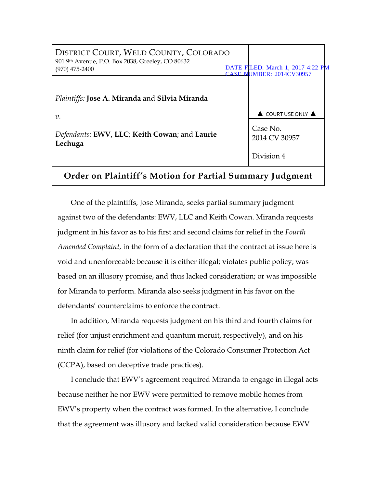| DISTRICT COURT, WELD COUNTY, COLORADO<br>901 9th Avenue, P.O. Box 2038, Greeley, CO 80632<br>$(970)$ 475-2400 |  | DATE FILED: March 1, 2017 4:22 PM<br><b>CASE NUMBER: 2014CV30957</b> |
|---------------------------------------------------------------------------------------------------------------|--|----------------------------------------------------------------------|
| Plaintiffs: Jose A. Miranda and Silvia Miranda                                                                |  |                                                                      |
| $v_{\cdot}$                                                                                                   |  | $\triangle$ COURT USE ONLY $\triangle$                               |
| Defendants: EWV, LLC; Keith Cowan; and Laurie<br>Lechuga                                                      |  | Case No.<br>2014 CV 30957                                            |
|                                                                                                               |  | Division 4                                                           |
|                                                                                                               |  |                                                                      |

# **Order on Plaintiff's Motion for Partial Summary Judgment**

One of the plaintiffs, Jose Miranda, seeks partial summary judgment against two of the defendants: EWV, LLC and Keith Cowan. Miranda requests judgment in his favor as to his first and second claims for relief in the *Fourth Amended Complaint*, in the form of a declaration that the contract at issue here is void and unenforceable because it is either illegal; violates public policy; was based on an illusory promise, and thus lacked consideration; or was impossible for Miranda to perform. Miranda also seeks judgment in his favor on the defendants' counterclaims to enforce the contract.

In addition, Miranda requests judgment on his third and fourth claims for relief (for unjust enrichment and quantum meruit, respectively), and on his ninth claim for relief (for violations of the Colorado Consumer Protection Act (CCPA), based on deceptive trade practices).

I conclude that EWV's agreement required Miranda to engage in illegal acts because neither he nor EWV were permitted to remove mobile homes from EWV's property when the contract was formed. In the alternative, I conclude that the agreement was illusory and lacked valid consideration because EWV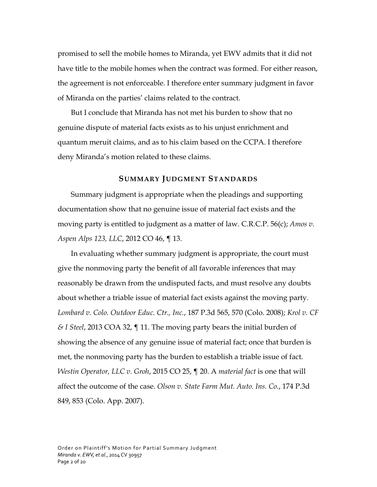promised to sell the mobile homes to Miranda, yet EWV admits that it did not have title to the mobile homes when the contract was formed. For either reason, the agreement is not enforceable. I therefore enter summary judgment in favor of Miranda on the parties' claims related to the contract.

But I conclude that Miranda has not met his burden to show that no genuine dispute of material facts exists as to his unjust enrichment and quantum meruit claims, and as to his claim based on the CCPA. I therefore deny Miranda's motion related to these claims.

### **SUMMARY JUDGMENT STANDARDS**

Summary judgment is appropriate when the pleadings and supporting documentation show that no genuine issue of material fact exists and the moving party is entitled to judgment as a matter of law. C.R.C.P. 56(c); *Amos v. Aspen Alps 123, LLC*, 2012 CO 46, ¶ 13.

In evaluating whether summary judgment is appropriate, the court must give the nonmoving party the benefit of all favorable inferences that may reasonably be drawn from the undisputed facts, and must resolve any doubts about whether a triable issue of material fact exists against the moving party. *Lombard v. Colo. Outdoor Educ. Ctr., Inc.*, 187 P.3d 565, 570 (Colo. 2008); *Krol v. CF & I Steel*, 2013 COA 32, ¶ 11. The moving party bears the initial burden of showing the absence of any genuine issue of material fact; once that burden is met, the nonmoving party has the burden to establish a triable issue of fact. *Westin Operator, LLC v. Groh*, 2015 CO 25, ¶ 20. A *material fact* is one that will affect the outcome of the case. *Olson v. State Farm Mut. Auto. Ins. Co.*, 174 P.3d 849, 853 (Colo. App. 2007).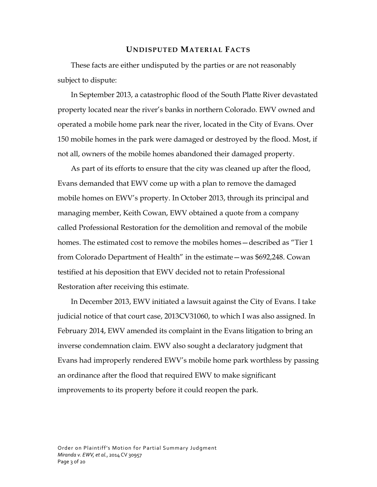#### **UNDISPUTED MATERIAL FACTS**

These facts are either undisputed by the parties or are not reasonably subject to dispute:

In September 2013, a catastrophic flood of the South Platte River devastated property located near the river's banks in northern Colorado. EWV owned and operated a mobile home park near the river, located in the City of Evans. Over 150 mobile homes in the park were damaged or destroyed by the flood. Most, if not all, owners of the mobile homes abandoned their damaged property.

As part of its efforts to ensure that the city was cleaned up after the flood, Evans demanded that EWV come up with a plan to remove the damaged mobile homes on EWV's property. In October 2013, through its principal and managing member, Keith Cowan, EWV obtained a quote from a company called Professional Restoration for the demolition and removal of the mobile homes. The estimated cost to remove the mobiles homes—described as "Tier 1 from Colorado Department of Health" in the estimate—was \$692,248. Cowan testified at his deposition that EWV decided not to retain Professional Restoration after receiving this estimate.

In December 2013, EWV initiated a lawsuit against the City of Evans. I take judicial notice of that court case, 2013CV31060, to which I was also assigned. In February 2014, EWV amended its complaint in the Evans litigation to bring an inverse condemnation claim. EWV also sought a declaratory judgment that Evans had improperly rendered EWV's mobile home park worthless by passing an ordinance after the flood that required EWV to make significant improvements to its property before it could reopen the park.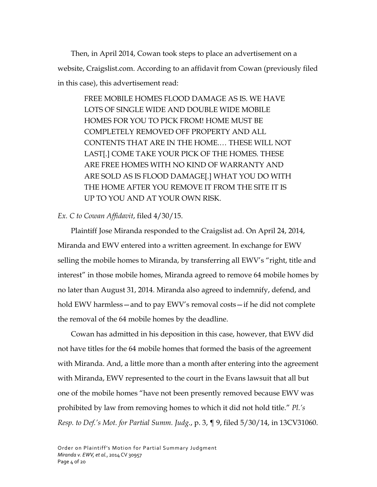Then, in April 2014, Cowan took steps to place an advertisement on a website, Craigslist.com. According to an affidavit from Cowan (previously filed in this case), this advertisement read:

> FREE MOBILE HOMES FLOOD DAMAGE AS IS. WE HAVE LOTS OF SINGLE WIDE AND DOUBLE WIDE MOBILE HOMES FOR YOU TO PICK FROM! HOME MUST BE COMPLETELY REMOVED OFF PROPERTY AND ALL CONTENTS THAT ARE IN THE HOME.… THESE WILL NOT LAST[.] COME TAKE YOUR PICK OF THE HOMES. THESE ARE FREE HOMES WITH NO KIND OF WARRANTY AND ARE SOLD AS IS FLOOD DAMAGE[.] WHAT YOU DO WITH THE HOME AFTER YOU REMOVE IT FROM THE SITE IT IS UP TO YOU AND AT YOUR OWN RISK.

### *Ex. C to Cowan Affidavit*, filed 4/30/15.

Plaintiff Jose Miranda responded to the Craigslist ad. On April 24, 2014, Miranda and EWV entered into a written agreement. In exchange for EWV selling the mobile homes to Miranda, by transferring all EWV's "right, title and interest" in those mobile homes, Miranda agreed to remove 64 mobile homes by no later than August 31, 2014. Miranda also agreed to indemnify, defend, and hold EWV harmless—and to pay EWV's removal costs—if he did not complete the removal of the 64 mobile homes by the deadline.

Cowan has admitted in his deposition in this case, however, that EWV did not have titles for the 64 mobile homes that formed the basis of the agreement with Miranda. And, a little more than a month after entering into the agreement with Miranda, EWV represented to the court in the Evans lawsuit that all but one of the mobile homes "have not been presently removed because EWV was prohibited by law from removing homes to which it did not hold title." *Pl.'s Resp. to Def.'s Mot. for Partial Summ. Judg.*, p. 3, ¶ 9, filed 5/30/14, in 13CV31060.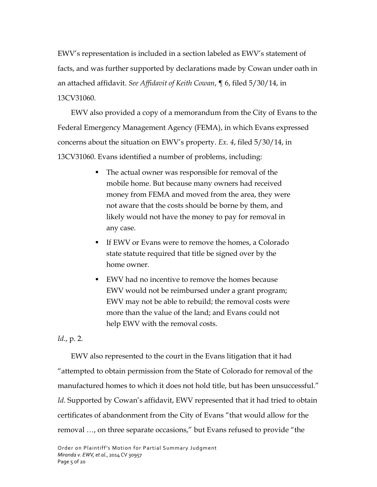EWV's representation is included in a section labeled as EWV's statement of facts, and was further supported by declarations made by Cowan under oath in an attached affidavit. *See Affidavit of Keith Cowan*, ¶ 6, filed 5/30/14, in 13CV31060.

EWV also provided a copy of a memorandum from the City of Evans to the Federal Emergency Management Agency (FEMA), in which Evans expressed concerns about the situation on EWV's property. *Ex. 4*, filed 5/30/14, in 13CV31060. Evans identified a number of problems, including:

- The actual owner was responsible for removal of the mobile home. But because many owners had received money from FEMA and moved from the area, they were not aware that the costs should be borne by them, and likely would not have the money to pay for removal in any case.
- If EWV or Evans were to remove the homes, a Colorado state statute required that title be signed over by the home owner.
- EWV had no incentive to remove the homes because EWV would not be reimbursed under a grant program; EWV may not be able to rebuild; the removal costs were more than the value of the land; and Evans could not help EWV with the removal costs.

## *Id.*, p. 2.

EWV also represented to the court in the Evans litigation that it had "attempted to obtain permission from the State of Colorado for removal of the manufactured homes to which it does not hold title, but has been unsuccessful." Id. Supported by Cowan's affidavit, EWV represented that it had tried to obtain certificates of abandonment from the City of Evans "that would allow for the removal …, on three separate occasions," but Evans refused to provide "the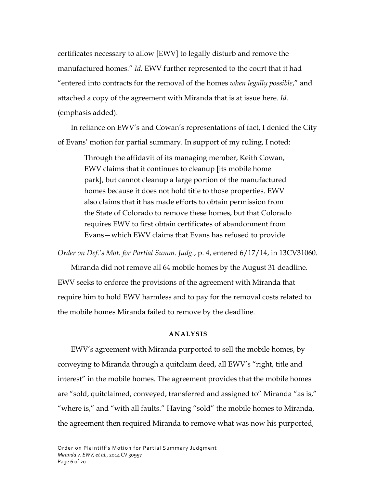certificates necessary to allow [EWV] to legally disturb and remove the manufactured homes." *Id.* EWV further represented to the court that it had "entered into contracts for the removal of the homes *when legally possible*," and attached a copy of the agreement with Miranda that is at issue here. *Id.*  (emphasis added).

In reliance on EWV's and Cowan's representations of fact, I denied the City of Evans' motion for partial summary. In support of my ruling, I noted:

> Through the affidavit of its managing member, Keith Cowan, EWV claims that it continues to cleanup [its mobile home park], but cannot cleanup a large portion of the manufactured homes because it does not hold title to those properties. EWV also claims that it has made efforts to obtain permission from the State of Colorado to remove these homes, but that Colorado requires EWV to first obtain certificates of abandonment from Evans—which EWV claims that Evans has refused to provide.

*Order on Def.'s Mot. for Partial Summ. Judg.*, p. 4, entered 6/17/14, in 13CV31060.

Miranda did not remove all 64 mobile homes by the August 31 deadline. EWV seeks to enforce the provisions of the agreement with Miranda that require him to hold EWV harmless and to pay for the removal costs related to the mobile homes Miranda failed to remove by the deadline.

### **ANALYSIS**

EWV's agreement with Miranda purported to sell the mobile homes, by conveying to Miranda through a quitclaim deed, all EWV's "right, title and interest" in the mobile homes. The agreement provides that the mobile homes are "sold, quitclaimed, conveyed, transferred and assigned to" Miranda "as is," "where is," and "with all faults." Having "sold" the mobile homes to Miranda, the agreement then required Miranda to remove what was now his purported,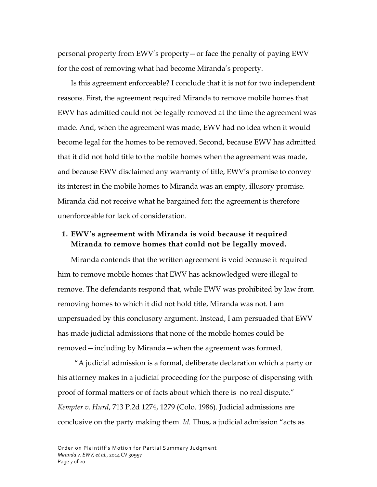personal property from EWV's property—or face the penalty of paying EWV for the cost of removing what had become Miranda's property.

Is this agreement enforceable? I conclude that it is not for two independent reasons. First, the agreement required Miranda to remove mobile homes that EWV has admitted could not be legally removed at the time the agreement was made. And, when the agreement was made, EWV had no idea when it would become legal for the homes to be removed. Second, because EWV has admitted that it did not hold title to the mobile homes when the agreement was made, and because EWV disclaimed any warranty of title, EWV's promise to convey its interest in the mobile homes to Miranda was an empty, illusory promise. Miranda did not receive what he bargained for; the agreement is therefore unenforceable for lack of consideration.

# **1. EWV's agreement with Miranda is void because it required Miranda to remove homes that could not be legally moved.**

Miranda contends that the written agreement is void because it required him to remove mobile homes that EWV has acknowledged were illegal to remove. The defendants respond that, while EWV was prohibited by law from removing homes to which it did not hold title, Miranda was not. I am unpersuaded by this conclusory argument. Instead, I am persuaded that EWV has made judicial admissions that none of the mobile homes could be removed—including by Miranda—when the agreement was formed.

"A judicial admission is a formal, deliberate declaration which a party or his attorney makes in a judicial proceeding for the purpose of dispensing with proof of formal matters or of facts about which there is no real dispute." *Kempter v. Hurd*, 713 P.2d 1274, 1279 (Colo. 1986). Judicial admissions are conclusive on the party making them. *Id.* Thus, a judicial admission "acts as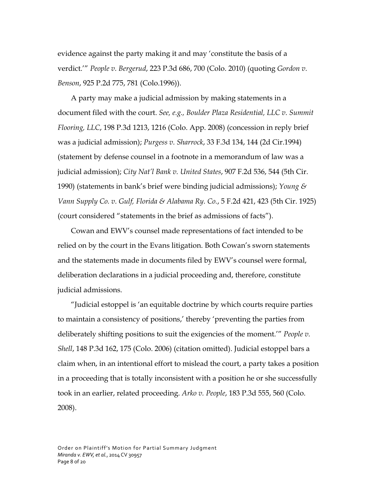evidence against the party making it and may 'constitute the basis of a verdict.'" *People v. Bergerud*, 223 P.3d 686, 700 (Colo. 2010) (quoting *Gordon v. Benson*, 925 P.2d 775, 781 (Colo.1996)).

A party may make a judicial admission by making statements in a document filed with the court. *See, e.g., Boulder Plaza Residential, LLC v. Summit Flooring, LLC*, 198 P.3d 1213, 1216 (Colo. App. 2008) (concession in reply brief was a judicial admission); *Purgess v. Sharrock*, 33 F.3d 134, 144 (2d Cir.1994) (statement by defense counsel in a footnote in a memorandum of law was a judicial admission); *City Nat'l Bank v. United States*, 907 F.2d 536, 544 (5th Cir. 1990) (statements in bank's brief were binding judicial admissions); *Young & Vann Supply Co. v. Gulf, Florida & Alabama Ry. Co.*, 5 F.2d 421, 423 (5th Cir. 1925) (court considered "statements in the brief as admissions of facts").

Cowan and EWV's counsel made representations of fact intended to be relied on by the court in the Evans litigation. Both Cowan's sworn statements and the statements made in documents filed by EWV's counsel were formal, deliberation declarations in a judicial proceeding and, therefore, constitute judicial admissions.

"Judicial estoppel is 'an equitable doctrine by which courts require parties to maintain a consistency of positions,' thereby 'preventing the parties from deliberately shifting positions to suit the exigencies of the moment.'" *People v. Shell*, 148 P.3d 162, 175 (Colo. 2006) (citation omitted). Judicial estoppel bars a claim when, in an intentional effort to mislead the court, a party takes a position in a proceeding that is totally inconsistent with a position he or she successfully took in an earlier, related proceeding. *Arko v. People*, 183 P.3d 555, 560 (Colo. 2008).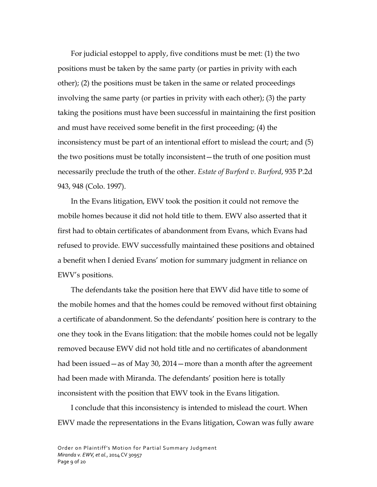For judicial estoppel to apply, five conditions must be met: (1) the two positions must be taken by the same party (or parties in privity with each other); (2) the positions must be taken in the same or related proceedings involving the same party (or parties in privity with each other); (3) the party taking the positions must have been successful in maintaining the first position and must have received some benefit in the first proceeding; (4) the inconsistency must be part of an intentional effort to mislead the court; and (5) the two positions must be totally inconsistent—the truth of one position must necessarily preclude the truth of the other. *Estate of Burford v. Burford*, 935 P.2d 943, 948 (Colo. 1997).

In the Evans litigation, EWV took the position it could not remove the mobile homes because it did not hold title to them. EWV also asserted that it first had to obtain certificates of abandonment from Evans, which Evans had refused to provide. EWV successfully maintained these positions and obtained a benefit when I denied Evans' motion for summary judgment in reliance on EWV's positions.

The defendants take the position here that EWV did have title to some of the mobile homes and that the homes could be removed without first obtaining a certificate of abandonment. So the defendants' position here is contrary to the one they took in the Evans litigation: that the mobile homes could not be legally removed because EWV did not hold title and no certificates of abandonment had been issued—as of May 30, 2014—more than a month after the agreement had been made with Miranda. The defendants' position here is totally inconsistent with the position that EWV took in the Evans litigation.

I conclude that this inconsistency is intended to mislead the court. When EWV made the representations in the Evans litigation, Cowan was fully aware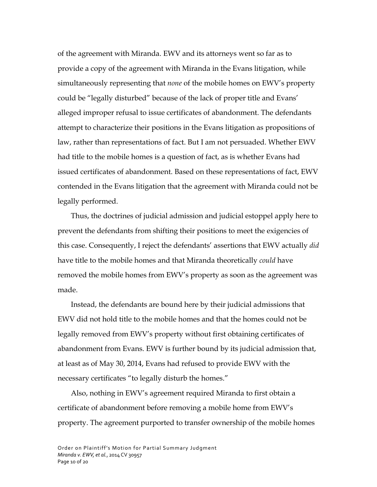of the agreement with Miranda. EWV and its attorneys went so far as to provide a copy of the agreement with Miranda in the Evans litigation, while simultaneously representing that *none* of the mobile homes on EWV's property could be "legally disturbed" because of the lack of proper title and Evans' alleged improper refusal to issue certificates of abandonment. The defendants attempt to characterize their positions in the Evans litigation as propositions of law, rather than representations of fact. But I am not persuaded. Whether EWV had title to the mobile homes is a question of fact, as is whether Evans had issued certificates of abandonment. Based on these representations of fact, EWV contended in the Evans litigation that the agreement with Miranda could not be legally performed.

Thus, the doctrines of judicial admission and judicial estoppel apply here to prevent the defendants from shifting their positions to meet the exigencies of this case. Consequently, I reject the defendants' assertions that EWV actually *did*  have title to the mobile homes and that Miranda theoretically *could* have removed the mobile homes from EWV's property as soon as the agreement was made.

Instead, the defendants are bound here by their judicial admissions that EWV did not hold title to the mobile homes and that the homes could not be legally removed from EWV's property without first obtaining certificates of abandonment from Evans. EWV is further bound by its judicial admission that, at least as of May 30, 2014, Evans had refused to provide EWV with the necessary certificates "to legally disturb the homes."

Also, nothing in EWV's agreement required Miranda to first obtain a certificate of abandonment before removing a mobile home from EWV's property. The agreement purported to transfer ownership of the mobile homes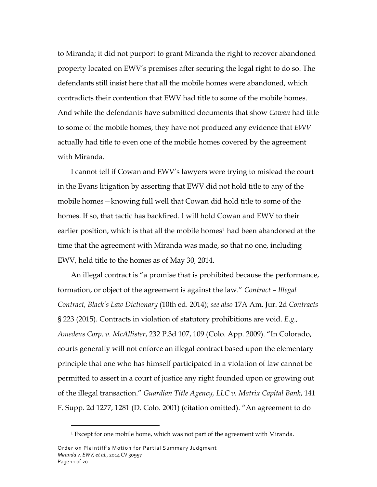to Miranda; it did not purport to grant Miranda the right to recover abandoned property located on EWV's premises after securing the legal right to do so. The defendants still insist here that all the mobile homes were abandoned, which contradicts their contention that EWV had title to some of the mobile homes. And while the defendants have submitted documents that show *Cowan* had title to some of the mobile homes, they have not produced any evidence that *EWV* actually had title to even one of the mobile homes covered by the agreement with Miranda.

I cannot tell if Cowan and EWV's lawyers were trying to mislead the court in the Evans litigation by asserting that EWV did not hold title to any of the mobile homes—knowing full well that Cowan did hold title to some of the homes. If so, that tactic has backfired. I will hold Cowan and EWV to their earlier position, which is that all the mobile homes<sup>[1](#page-10-0)</sup> had been abandoned at the time that the agreement with Miranda was made, so that no one, including EWV, held title to the homes as of May 30, 2014.

An illegal contract is "a promise that is prohibited because the performance, formation, or object of the agreement is against the law." *Contract – Illegal Contract, Black's Law Dictionary* (10th ed. 2014); *see also* 17A Am. Jur. 2d *Contracts* § 223 (2015). Contracts in violation of statutory prohibitions are void. *E.g., Amedeus Corp. v. McAllister*, 232 P.3d 107, 109 (Colo. App. 2009). "In Colorado, courts generally will not enforce an illegal contract based upon the elementary principle that one who has himself participated in a violation of law cannot be permitted to assert in a court of justice any right founded upon or growing out of the illegal transaction." *Guardian Title Agency, LLC v. Matrix Capital Bank*, 141 F. Supp. 2d 1277, 1281 (D. Colo. 2001) (citation omitted). "An agreement to do

 $\overline{a}$ 

<span id="page-10-0"></span><sup>&</sup>lt;sup>1</sup> Except for one mobile home, which was not part of the agreement with Miranda.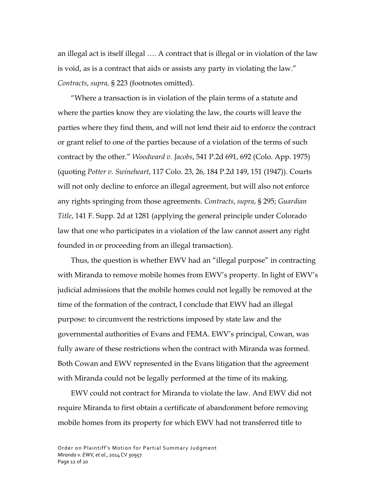an illegal act is itself illegal …. A contract that is illegal or in violation of the law is void, as is a contract that aids or assists any party in violating the law." *Contracts*, *supra,* § 223 (footnotes omitted).

"Where a transaction is in violation of the plain terms of a statute and where the parties know they are violating the law, the courts will leave the parties where they find them, and will not lend their aid to enforce the contract or grant relief to one of the parties because of a violation of the terms of such contract by the other." *Woodward v. Jacobs*, 541 P.2d 691, 692 (Colo. App. 1975) (quoting *Potter v. Swineheart*, 117 Colo. 23, 26, 184 P.2d 149, 151 (1947)). Courts will not only decline to enforce an illegal agreement, but will also not enforce any rights springing from those agreements. *Contracts*, *supra*, § 295; *Guardian Title*, 141 F. Supp. 2d at 1281 (applying the general principle under Colorado law that one who participates in a violation of the law cannot assert any right founded in or proceeding from an illegal transaction).

Thus, the question is whether EWV had an "illegal purpose" in contracting with Miranda to remove mobile homes from EWV's property. In light of EWV's judicial admissions that the mobile homes could not legally be removed at the time of the formation of the contract, I conclude that EWV had an illegal purpose: to circumvent the restrictions imposed by state law and the governmental authorities of Evans and FEMA. EWV's principal, Cowan, was fully aware of these restrictions when the contract with Miranda was formed. Both Cowan and EWV represented in the Evans litigation that the agreement with Miranda could not be legally performed at the time of its making.

EWV could not contract for Miranda to violate the law. And EWV did not require Miranda to first obtain a certificate of abandonment before removing mobile homes from its property for which EWV had not transferred title to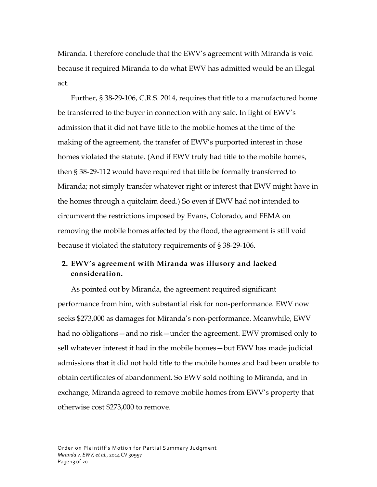Miranda. I therefore conclude that the EWV's agreement with Miranda is void because it required Miranda to do what EWV has admitted would be an illegal act.

Further, § 38-29-106, C.R.S. 2014, requires that title to a manufactured home be transferred to the buyer in connection with any sale. In light of EWV's admission that it did not have title to the mobile homes at the time of the making of the agreement, the transfer of EWV's purported interest in those homes violated the statute. (And if EWV truly had title to the mobile homes, then § 38-29-112 would have required that title be formally transferred to Miranda; not simply transfer whatever right or interest that EWV might have in the homes through a quitclaim deed.) So even if EWV had not intended to circumvent the restrictions imposed by Evans, Colorado, and FEMA on removing the mobile homes affected by the flood, the agreement is still void because it violated the statutory requirements of § 38-29-106.

# **2. EWV's agreement with Miranda was illusory and lacked consideration.**

As pointed out by Miranda, the agreement required significant performance from him, with substantial risk for non-performance. EWV now seeks \$273,000 as damages for Miranda's non-performance. Meanwhile, EWV had no obligations—and no risk—under the agreement. EWV promised only to sell whatever interest it had in the mobile homes—but EWV has made judicial admissions that it did not hold title to the mobile homes and had been unable to obtain certificates of abandonment. So EWV sold nothing to Miranda, and in exchange, Miranda agreed to remove mobile homes from EWV's property that otherwise cost \$273,000 to remove.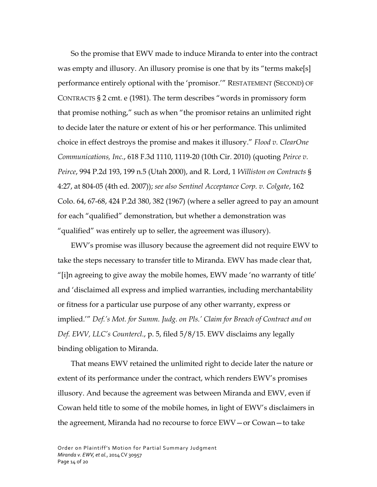So the promise that EWV made to induce Miranda to enter into the contract was empty and illusory. An illusory promise is one that by its "terms make[s] performance entirely optional with the 'promisor.'" RESTATEMENT (SECOND) OF CONTRACTS § 2 cmt. e (1981). The term describes "words in promissory form that promise nothing," such as when "the promisor retains an unlimited right to decide later the nature or extent of his or her performance. This unlimited choice in effect destroys the promise and makes it illusory." *Flood v. ClearOne Communications, Inc.*, 618 F.3d 1110, 1119-20 (10th Cir. 2010) (quoting *Peirce v. Peirce*, 994 P.2d 193, 199 n.5 (Utah 2000), and R. Lord, 1 *Williston on Contracts* § 4:27, at 804-05 (4th ed. 2007)); *see also Sentinel Acceptance Corp. v. Colgate*, 162 Colo. 64, 67-68, 424 P.2d 380, 382 (1967) (where a seller agreed to pay an amount for each "qualified" demonstration, but whether a demonstration was "qualified" was entirely up to seller, the agreement was illusory).

EWV's promise was illusory because the agreement did not require EWV to take the steps necessary to transfer title to Miranda. EWV has made clear that, "[i]n agreeing to give away the mobile homes, EWV made 'no warranty of title' and 'disclaimed all express and implied warranties, including merchantability or fitness for a particular use purpose of any other warranty, express or implied.'" *Def.'s Mot. for Summ. Judg. on Pls.' Claim for Breach of Contract and on Def. EWV, LLC's Countercl.*, p. 5, filed 5/8/15. EWV disclaims any legally binding obligation to Miranda.

That means EWV retained the unlimited right to decide later the nature or extent of its performance under the contract, which renders EWV's promises illusory. And because the agreement was between Miranda and EWV, even if Cowan held title to some of the mobile homes, in light of EWV's disclaimers in the agreement, Miranda had no recourse to force EWV—or Cowan—to take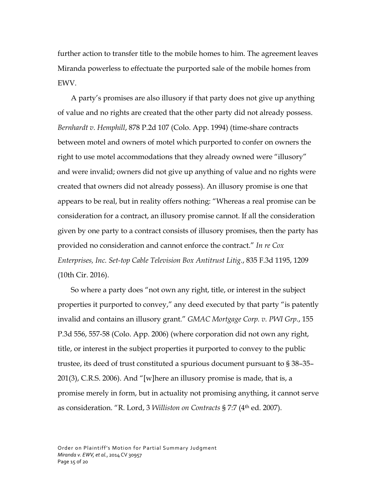further action to transfer title to the mobile homes to him. The agreement leaves Miranda powerless to effectuate the purported sale of the mobile homes from EWV.

A party's promises are also illusory if that party does not give up anything of value and no rights are created that the other party did not already possess. *Bernhardt v. Hemphill*, 878 P.2d 107 (Colo. App. 1994) (time-share contracts between motel and owners of motel which purported to confer on owners the right to use motel accommodations that they already owned were "illusory" and were invalid; owners did not give up anything of value and no rights were created that owners did not already possess). An illusory promise is one that appears to be real, but in reality offers nothing: "Whereas a real promise can be consideration for a contract, an illusory promise cannot. If all the consideration given by one party to a contract consists of illusory promises, then the party has provided no consideration and cannot enforce the contract." *In re Cox Enterprises, Inc. Set-top Cable Television Box Antitrust Litig.*, 835 F.3d 1195, 1209 (10th Cir. 2016).

So where a party does "not own any right, title, or interest in the subject properties it purported to convey," any deed executed by that party "is patently invalid and contains an illusory grant." *GMAC Mortgage Corp. v. PWI Grp.*, 155 P.3d 556, 557-58 (Colo. App. 2006) (where corporation did not own any right, title, or interest in the subject properties it purported to convey to the public trustee, its deed of trust constituted a spurious document pursuant to § 38–35–  $201(3)$ , C.R.S. 2006). And "[w]here an illusory promise is made, that is, a promise merely in form, but in actuality not promising anything, it cannot serve as consideration. "R. Lord, 3 *Williston on Contracts* § 7:7 (4th ed. 2007).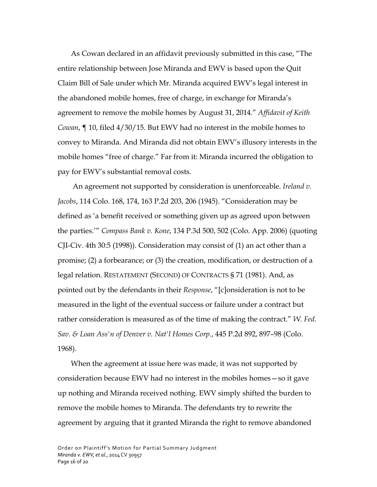As Cowan declared in an affidavit previously submitted in this case, "The entire relationship between Jose Miranda and EWV is based upon the Quit Claim Bill of Sale under which Mr. Miranda acquired EWV's legal interest in the abandoned mobile homes, free of charge, in exchange for Miranda's agreement to remove the mobile homes by August 31, 2014." *Affidavit of Keith Cowan*, ¶ 10, filed 4/30/15. But EWV had no interest in the mobile homes to convey to Miranda. And Miranda did not obtain EWV's illusory interests in the mobile homes "free of charge." Far from it: Miranda incurred the obligation to pay for EWV's substantial removal costs.

An agreement not supported by consideration is unenforceable. *Ireland v. Jacobs*, 114 Colo. 168, 174, 163 P.2d 203, 206 (1945). "Consideration may be defined as 'a benefit received or something given up as agreed upon between the parties.'" *Compass Bank v. Kone*, 134 P.3d 500, 502 (Colo. App. 2006) (quoting CJI-Civ. 4th 30:5 (1998)). Consideration may consist of (1) an act other than a promise; (2) a forbearance; or (3) the creation, modification, or destruction of a legal relation. RESTATEMENT (SECOND) OF CONTRACTS § 71 (1981). And, as pointed out by the defendants in their *Response*, "[c]onsideration is not to be measured in the light of the eventual success or failure under a contract but rather consideration is measured as of the time of making the contract." *W. Fed. Sav. & Loan Ass'n of Denver v. Nat'l Homes Corp.*, 445 P.2d 892, 897–98 (Colo. 1968).

When the agreement at issue here was made, it was not supported by consideration because EWV had no interest in the mobiles homes—so it gave up nothing and Miranda received nothing. EWV simply shifted the burden to remove the mobile homes to Miranda. The defendants try to rewrite the agreement by arguing that it granted Miranda the right to remove abandoned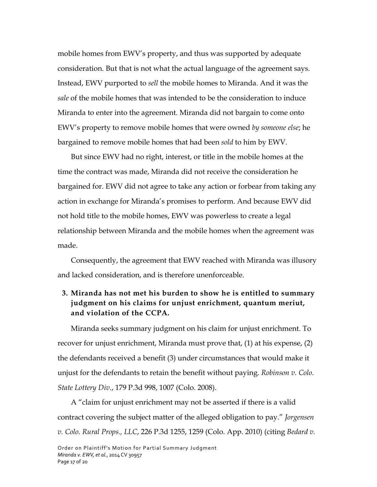mobile homes from EWV's property, and thus was supported by adequate consideration. But that is not what the actual language of the agreement says. Instead, EWV purported to *sell* the mobile homes to Miranda. And it was the *sale* of the mobile homes that was intended to be the consideration to induce Miranda to enter into the agreement. Miranda did not bargain to come onto EWV's property to remove mobile homes that were owned *by someone else*; he bargained to remove mobile homes that had been *sold* to him by EWV.

But since EWV had no right, interest, or title in the mobile homes at the time the contract was made, Miranda did not receive the consideration he bargained for. EWV did not agree to take any action or forbear from taking any action in exchange for Miranda's promises to perform. And because EWV did not hold title to the mobile homes, EWV was powerless to create a legal relationship between Miranda and the mobile homes when the agreement was made.

Consequently, the agreement that EWV reached with Miranda was illusory and lacked consideration, and is therefore unenforceable.

# **3. Miranda has not met his burden to show he is entitled to summary judgment on his claims for unjust enrichment, quantum meriut, and violation of the CCPA.**

Miranda seeks summary judgment on his claim for unjust enrichment. To recover for unjust enrichment, Miranda must prove that, (1) at his expense, (2) the defendants received a benefit (3) under circumstances that would make it unjust for the defendants to retain the benefit without paying. *Robinson v. Colo. State Lottery Div.*, 179 P.3d 998, 1007 (Colo. 2008).

A "claim for unjust enrichment may not be asserted if there is a valid contract covering the subject matter of the alleged obligation to pay." *Jorgensen v. Colo. Rural Props., LLC*, 226 P.3d 1255, 1259 (Colo. App. 2010) (citing *Bedard v.*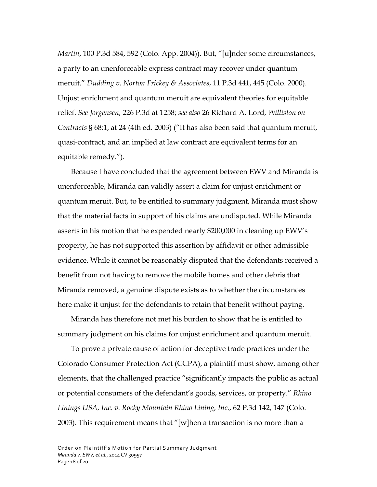*Martin*, 100 P.3d 584, 592 (Colo. App. 2004)). But, "[u]nder some circumstances, a party to an unenforceable express contract may recover under quantum meruit." *Dudding v. Norton Frickey & Associates*, 11 P.3d 441, 445 (Colo. 2000). Unjust enrichment and quantum meruit are equivalent theories for equitable relief. *See Jorgensen*, 226 P.3d at 1258; *see also* 26 Richard A. Lord, *Williston on Contracts* § 68:1, at 24 (4th ed. 2003) ("It has also been said that quantum meruit, quasi-contract, and an implied at law contract are equivalent terms for an equitable remedy.").

Because I have concluded that the agreement between EWV and Miranda is unenforceable, Miranda can validly assert a claim for unjust enrichment or quantum meruit. But, to be entitled to summary judgment, Miranda must show that the material facts in support of his claims are undisputed. While Miranda asserts in his motion that he expended nearly \$200,000 in cleaning up EWV's property, he has not supported this assertion by affidavit or other admissible evidence. While it cannot be reasonably disputed that the defendants received a benefit from not having to remove the mobile homes and other debris that Miranda removed, a genuine dispute exists as to whether the circumstances here make it unjust for the defendants to retain that benefit without paying.

Miranda has therefore not met his burden to show that he is entitled to summary judgment on his claims for unjust enrichment and quantum meruit.

To prove a private cause of action for deceptive trade practices under the Colorado Consumer Protection Act (CCPA), a plaintiff must show, among other elements, that the challenged practice "significantly impacts the public as actual or potential consumers of the defendant's goods, services, or property." *Rhino Linings USA, Inc. v. Rocky Mountain Rhino Lining, Inc.*, 62 P.3d 142, 147 (Colo. 2003). This requirement means that "[w]hen a transaction is no more than a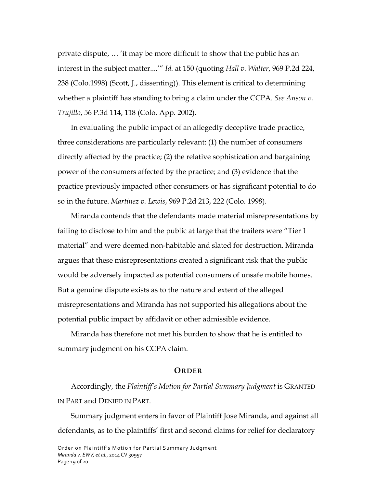private dispute, … 'it may be more difficult to show that the public has an interest in the subject matter....'" *Id.* at 150 (quoting *Hall v. Walter*, 969 P.2d 224, 238 (Colo.1998) (Scott, J., dissenting)). This element is critical to determining whether a plaintiff has standing to bring a claim under the CCPA. *See Anson v. Trujillo*, 56 P.3d 114, 118 (Colo. App. 2002).

In evaluating the public impact of an allegedly deceptive trade practice, three considerations are particularly relevant: (1) the number of consumers directly affected by the practice; (2) the relative sophistication and bargaining power of the consumers affected by the practice; and (3) evidence that the practice previously impacted other consumers or has significant potential to do so in the future. *Martinez v. Lewis*, 969 P.2d 213, 222 (Colo. 1998).

Miranda contends that the defendants made material misrepresentations by failing to disclose to him and the public at large that the trailers were "Tier 1 material" and were deemed non-habitable and slated for destruction. Miranda argues that these misrepresentations created a significant risk that the public would be adversely impacted as potential consumers of unsafe mobile homes. But a genuine dispute exists as to the nature and extent of the alleged misrepresentations and Miranda has not supported his allegations about the potential public impact by affidavit or other admissible evidence.

Miranda has therefore not met his burden to show that he is entitled to summary judgment on his CCPA claim.

#### **ORDER**

Accordingly, the *Plaintiff's Motion for Partial Summary Judgment* is GRANTED IN PART and DENIED IN PART.

Summary judgment enters in favor of Plaintiff Jose Miranda, and against all defendants, as to the plaintiffs' first and second claims for relief for declaratory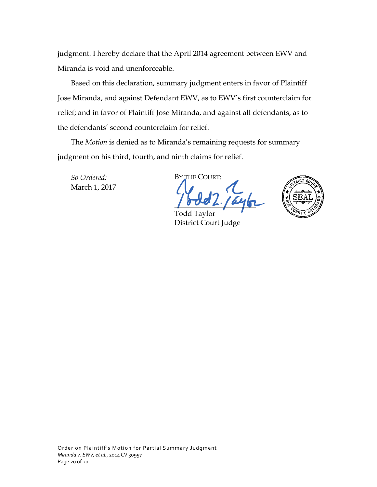judgment. I hereby declare that the April 2014 agreement between EWV and Miranda is void and unenforceable.

Based on this declaration, summary judgment enters in favor of Plaintiff Jose Miranda, and against Defendant EWV, as to EWV's first counterclaim for relief; and in favor of Plaintiff Jose Miranda, and against all defendants, as to the defendants' second counterclaim for relief.

The *Motion* is denied as to Miranda's remaining requests for summary judgment on his third, fourth, and ninth claims for relief.

*So Ordered:* March 1, 2017

BY THE COURT:

 $\frac{1}{2}$ Todd Taylor District Court Judge

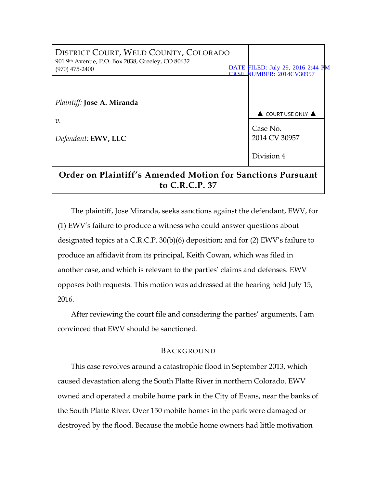| DISTRICT COURT, WELD COUNTY, COLORADO<br>901 9th Avenue, P.O. Box 2038, Greeley, CO 80632<br>$(970)$ 475-2400 |  | DATE FILED: July 29, 2016 2:44 PM<br><b>CASE NUMBER: 2014CV30957</b> |  |  |
|---------------------------------------------------------------------------------------------------------------|--|----------------------------------------------------------------------|--|--|
| Plaintiff: Jose A. Miranda                                                                                    |  | $\triangle$ COURT USE ONLY $\triangle$                               |  |  |
| $v$ .<br>Defendant: <b>EWV</b> , LLC                                                                          |  | Case No.<br>2014 CV 30957                                            |  |  |
|                                                                                                               |  | Division 4                                                           |  |  |
| Order on Plaintiff's Amended Motion for Sanctions Pursuant<br>to C.R.C.P. 37                                  |  |                                                                      |  |  |

The plaintiff, Jose Miranda, seeks sanctions against the defendant, EWV, for (1) EWV's failure to produce a witness who could answer questions about designated topics at a C.R.C.P. 30(b)(6) deposition; and for (2) EWV's failure to produce an affidavit from its principal, Keith Cowan, which was filed in another case, and which is relevant to the parties' claims and defenses. EWV opposes both requests. This motion was addressed at the hearing held July 15, 2016.

After reviewing the court file and considering the parties' arguments, I am convinced that EWV should be sanctioned.

# BACKGROUND

This case revolves around a catastrophic flood in September 2013, which caused devastation along the South Platte River in northern Colorado. EWV owned and operated a mobile home park in the City of Evans, near the banks of the South Platte River. Over 150 mobile homes in the park were damaged or destroyed by the flood. Because the mobile home owners had little motivation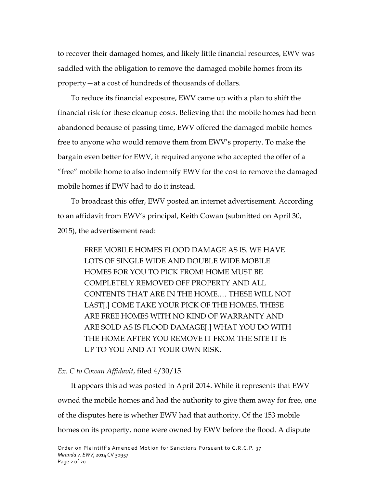to recover their damaged homes, and likely little financial resources, EWV was saddled with the obligation to remove the damaged mobile homes from its property—at a cost of hundreds of thousands of dollars.

To reduce its financial exposure, EWV came up with a plan to shift the financial risk for these cleanup costs. Believing that the mobile homes had been abandoned because of passing time, EWV offered the damaged mobile homes free to anyone who would remove them from EWV's property. To make the bargain even better for EWV, it required anyone who accepted the offer of a "free" mobile home to also indemnify EWV for the cost to remove the damaged mobile homes if EWV had to do it instead.

To broadcast this offer, EWV posted an internet advertisement. According to an affidavit from EWV's principal, Keith Cowan (submitted on April 30, 2015), the advertisement read:

> FREE MOBILE HOMES FLOOD DAMAGE AS IS. WE HAVE LOTS OF SINGLE WIDE AND DOUBLE WIDE MOBILE HOMES FOR YOU TO PICK FROM! HOME MUST BE COMPLETELY REMOVED OFF PROPERTY AND ALL CONTENTS THAT ARE IN THE HOME.… THESE WILL NOT LAST[.] COME TAKE YOUR PICK OF THE HOMES. THESE ARE FREE HOMES WITH NO KIND OF WARRANTY AND ARE SOLD AS IS FLOOD DAMAGE[.] WHAT YOU DO WITH THE HOME AFTER YOU REMOVE IT FROM THE SITE IT IS UP TO YOU AND AT YOUR OWN RISK.

### *Ex. C to Cowan Affidavit*, filed 4/30/15.

It appears this ad was posted in April 2014. While it represents that EWV owned the mobile homes and had the authority to give them away for free, one of the disputes here is whether EWV had that authority. Of the 153 mobile homes on its property, none were owned by EWV before the flood. A dispute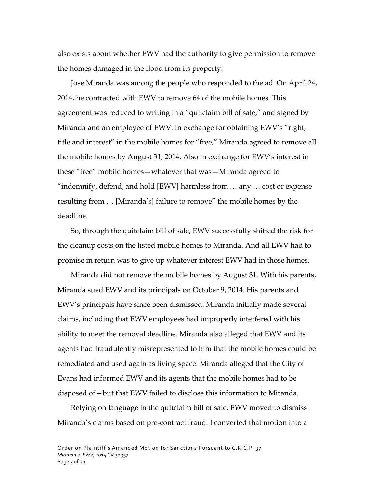also exists about whether EWV had the authority to give permission to remove the homes damaged in the flood from its property.

Jose Miranda was among the people who responded to the ad. On April 24, 2014, he contracted with EWV to remove 64 of the mobile homes. This agreement was reduced to writing in a "quitclaim bill of sale," and signed by Miranda and an employee of EWV. In exchange for obtaining EWV's "right, title and interest" in the mobile homes for "free," Miranda agreed to remove all the mobile homes by August 31, 2014. Also in exchange for EWV's interest in these "free" mobile homes—whatever that was—Miranda agreed to "indemnify, defend, and hold [EWV] harmless from … any … cost or expense resulting from … [Miranda's] failure to remove" the mobile homes by the deadline.

So, through the quitclaim bill of sale, EWV successfully shifted the risk for the cleanup costs on the listed mobile homes to Miranda. And all EWV had to promise in return was to give up whatever interest EWV had in those homes.

Miranda did not remove the mobile homes by August 31. With his parents, Miranda sued EWV and its principals on October 9, 2014. His parents and EWV's principals have since been dismissed. Miranda initially made several claims, including that EWV employees had improperly interfered with his ability to meet the removal deadline. Miranda also alleged that EWV and its agents had fraudulently misrepresented to him that the mobile homes could be remediated and used again as living space. Miranda alleged that the City of Evans had informed EWV and its agents that the mobile homes had to be disposed of—but that EWV failed to disclose this information to Miranda.

Relying on language in the quitclaim bill of sale, EWV moved to dismiss Miranda's claims based on pre-contract fraud. I converted that motion into a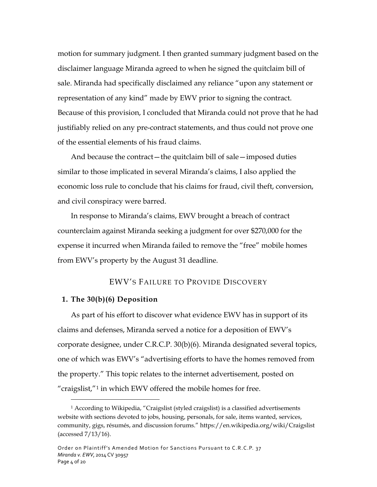motion for summary judgment. I then granted summary judgment based on the disclaimer language Miranda agreed to when he signed the quitclaim bill of sale. Miranda had specifically disclaimed any reliance "upon any statement or representation of any kind" made by EWV prior to signing the contract. Because of this provision, I concluded that Miranda could not prove that he had justifiably relied on any pre-contract statements, and thus could not prove one of the essential elements of his fraud claims.

And because the contract—the quitclaim bill of sale—imposed duties similar to those implicated in several Miranda's claims, I also applied the economic loss rule to conclude that his claims for fraud, civil theft, conversion, and civil conspiracy were barred.

In response to Miranda's claims, EWV brought a breach of contract counterclaim against Miranda seeking a judgment for over \$270,000 for the expense it incurred when Miranda failed to remove the "free" mobile homes from EWV's property by the August 31 deadline.

# EWV'S FAILURE TO PROVIDE DISCOVERY

#### **1. The 30(b)(6) Deposition**

 $\overline{a}$ 

As part of his effort to discover what evidence EWV has in support of its claims and defenses, Miranda served a notice for a deposition of EWV's corporate designee, under C.R.C.P. 30(b)(6). Miranda designated several topics, one of which was EWV's "advertising efforts to have the homes removed from the property." This topic relates to the internet advertisement, posted on "craigslist, $^{\prime\prime}$ <sup>[1](#page-23-0)</sup> in which EWV offered the mobile homes for free.

<span id="page-23-0"></span><sup>&</sup>lt;sup>1</sup> According to Wikipedia, "Craigslist (styled craigslist) is a classified advertisements website with sections devoted to jobs, housing, personals, for sale, items wanted, services, community, gigs, résumés, and discussion forums." https://en.wikipedia.org/wiki/Craigslist (accessed 7/13/16).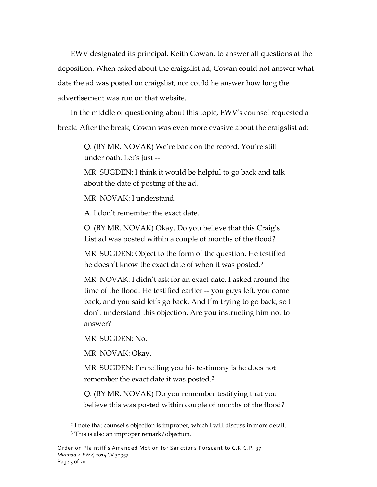EWV designated its principal, Keith Cowan, to answer all questions at the deposition. When asked about the craigslist ad, Cowan could not answer what date the ad was posted on craigslist, nor could he answer how long the advertisement was run on that website.

In the middle of questioning about this topic, EWV's counsel requested a break. After the break, Cowan was even more evasive about the craigslist ad:

> Q. (BY MR. NOVAK) We're back on the record. You're still under oath. Let's just --

MR. SUGDEN: I think it would be helpful to go back and talk about the date of posting of the ad.

MR. NOVAK: I understand.

A. I don't remember the exact date.

Q. (BY MR. NOVAK) Okay. Do you believe that this Craig's List ad was posted within a couple of months of the flood?

MR. SUGDEN: Object to the form of the question. He testified he doesn't know the exact date of when it was posted.<sup>[2](#page-24-0)</sup>

MR. NOVAK: I didn't ask for an exact date. I asked around the time of the flood. He testified earlier -- you guys left, you come back, and you said let's go back. And I'm trying to go back, so I don't understand this objection. Are you instructing him not to answer?

MR. SUGDEN: No.

MR. NOVAK: Okay.

 $\overline{a}$ 

MR. SUGDEN: I'm telling you his testimony is he does not remember the exact date it was posted.[3](#page-24-1)

Q. (BY MR. NOVAK) Do you remember testifying that you believe this was posted within couple of months of the flood?

<span id="page-24-0"></span><sup>2</sup> I note that counsel's objection is improper, which I will discuss in more detail.

<span id="page-24-1"></span><sup>3</sup> This is also an improper remark/objection.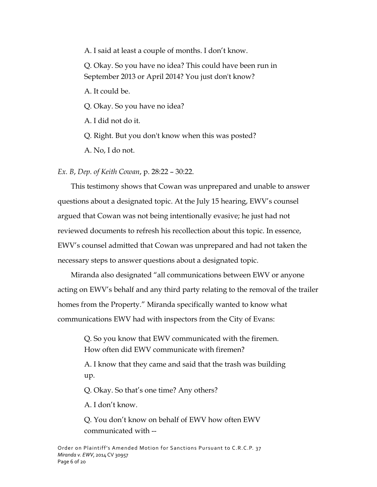A. I said at least a couple of months. I don't know.

Q. Okay. So you have no idea? This could have been run in September 2013 or April 2014? You just don't know?

A. It could be.

Q. Okay. So you have no idea?

A. I did not do it.

Q. Right. But you don't know when this was posted?

A. No, I do not.

*Ex. B*, *Dep. of Keith Cowan*, p. 28:22 – 30:22.

This testimony shows that Cowan was unprepared and unable to answer questions about a designated topic. At the July 15 hearing, EWV's counsel argued that Cowan was not being intentionally evasive; he just had not reviewed documents to refresh his recollection about this topic. In essence, EWV's counsel admitted that Cowan was unprepared and had not taken the necessary steps to answer questions about a designated topic.

Miranda also designated "all communications between EWV or anyone acting on EWV's behalf and any third party relating to the removal of the trailer homes from the Property." Miranda specifically wanted to know what communications EWV had with inspectors from the City of Evans:

> Q. So you know that EWV communicated with the firemen. How often did EWV communicate with firemen?

A. I know that they came and said that the trash was building up.

Q. Okay. So that's one time? Any others?

A. I don't know.

Q. You don't know on behalf of EWV how often EWV communicated with --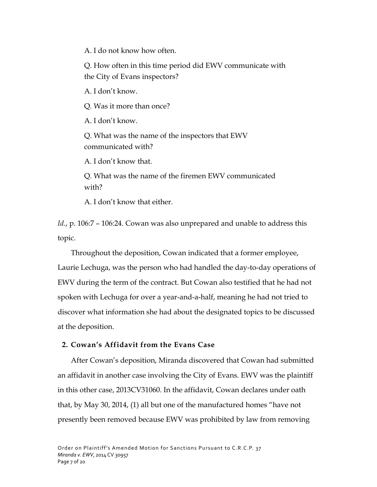A. I do not know how often.

Q. How often in this time period did EWV communicate with the City of Evans inspectors?

A. I don't know.

Q. Was it more than once?

A. I don't know.

Q. What was the name of the inspectors that EWV communicated with?

A. I don't know that.

Q. What was the name of the firemen EWV communicated with?

A. I don't know that either.

*Id.*, p. 106:7 – 106:24. Cowan was also unprepared and unable to address this topic.

Throughout the deposition, Cowan indicated that a former employee, Laurie Lechuga, was the person who had handled the day-to-day operations of EWV during the term of the contract. But Cowan also testified that he had not spoken with Lechuga for over a year-and-a-half, meaning he had not tried to discover what information she had about the designated topics to be discussed at the deposition.

## **2. Cowan's Affidavit from the Evans Case**

After Cowan's deposition, Miranda discovered that Cowan had submitted an affidavit in another case involving the City of Evans. EWV was the plaintiff in this other case, 2013CV31060. In the affidavit, Cowan declares under oath that, by May 30, 2014, (1) all but one of the manufactured homes "have not presently been removed because EWV was prohibited by law from removing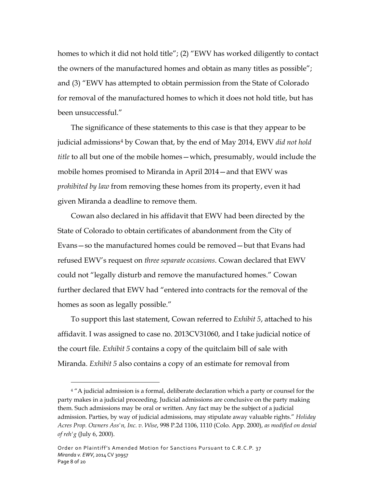homes to which it did not hold title"; (2) "EWV has worked diligently to contact the owners of the manufactured homes and obtain as many titles as possible"; and (3) "EWV has attempted to obtain permission from the State of Colorado for removal of the manufactured homes to which it does not hold title, but has been unsuccessful."

The significance of these statements to this case is that they appear to be judicial admissions[4](#page-27-0) by Cowan that, by the end of May 2014, EWV *did not hold title* to all but one of the mobile homes—which, presumably, would include the mobile homes promised to Miranda in April 2014—and that EWV was *prohibited by law* from removing these homes from its property, even it had given Miranda a deadline to remove them.

Cowan also declared in his affidavit that EWV had been directed by the State of Colorado to obtain certificates of abandonment from the City of Evans—so the manufactured homes could be removed—but that Evans had refused EWV's request on *three separate occasions*. Cowan declared that EWV could not "legally disturb and remove the manufactured homes." Cowan further declared that EWV had "entered into contracts for the removal of the homes as soon as legally possible."

To support this last statement, Cowan referred to *Exhibit 5*, attached to his affidavit. I was assigned to case no. 2013CV31060, and I take judicial notice of the court file. *Exhibit 5* contains a copy of the quitclaim bill of sale with Miranda. *Exhibit 5* also contains a copy of an estimate for removal from

 $\overline{a}$ 

<span id="page-27-0"></span><sup>&</sup>lt;sup>4</sup> "A judicial admission is a formal, deliberate declaration which a party or counsel for the party makes in a judicial proceeding. Judicial admissions are conclusive on the party making them. Such admissions may be oral or written. Any fact may be the subject of a judicial admission. Parties, by way of judicial admissions, may stipulate away valuable rights." *Holiday Acres Prop. Owners Ass'n, Inc. v. Wise*, 998 P.2d 1106, 1110 (Colo. App. 2000), *as modified on denial of reh'g* (July 6, 2000).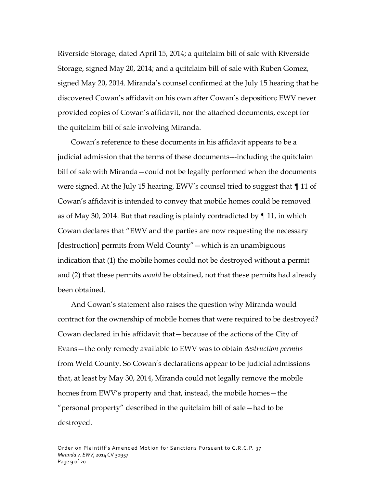Riverside Storage, dated April 15, 2014; a quitclaim bill of sale with Riverside Storage, signed May 20, 2014; and a quitclaim bill of sale with Ruben Gomez, signed May 20, 2014. Miranda's counsel confirmed at the July 15 hearing that he discovered Cowan's affidavit on his own after Cowan's deposition; EWV never provided copies of Cowan's affidavit, nor the attached documents, except for the quitclaim bill of sale involving Miranda.

Cowan's reference to these documents in his affidavit appears to be a judicial admission that the terms of these documents---including the quitclaim bill of sale with Miranda—could not be legally performed when the documents were signed. At the July 15 hearing, EWV's counsel tried to suggest that ¶ 11 of Cowan's affidavit is intended to convey that mobile homes could be removed as of May 30, 2014. But that reading is plainly contradicted by ¶ 11, in which Cowan declares that "EWV and the parties are now requesting the necessary [destruction] permits from Weld County"—which is an unambiguous indication that (1) the mobile homes could not be destroyed without a permit and (2) that these permits *would* be obtained, not that these permits had already been obtained.

And Cowan's statement also raises the question why Miranda would contract for the ownership of mobile homes that were required to be destroyed? Cowan declared in his affidavit that—because of the actions of the City of Evans—the only remedy available to EWV was to obtain *destruction permits* from Weld County. So Cowan's declarations appear to be judicial admissions that, at least by May 30, 2014, Miranda could not legally remove the mobile homes from EWV's property and that, instead, the mobile homes—the "personal property" described in the quitclaim bill of sale—had to be destroyed.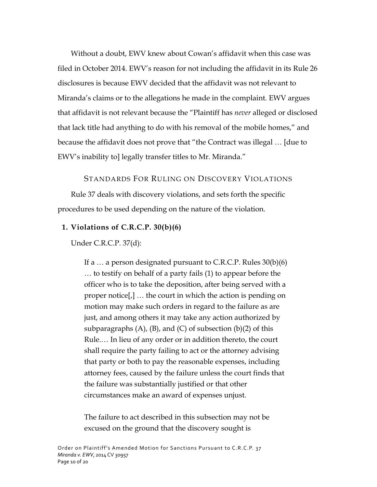Without a doubt, EWV knew about Cowan's affidavit when this case was filed in October 2014. EWV's reason for not including the affidavit in its Rule 26 disclosures is because EWV decided that the affidavit was not relevant to Miranda's claims or to the allegations he made in the complaint. EWV argues that affidavit is not relevant because the "Plaintiff has *never* alleged or disclosed that lack title had anything to do with his removal of the mobile homes," and because the affidavit does not prove that "the Contract was illegal … [due to EWV's inability to] legally transfer titles to Mr. Miranda."

## STANDARDS FOR RULING ON DISCOVERY VIOLATIONS

Rule 37 deals with discovery violations, and sets forth the specific procedures to be used depending on the nature of the violation.

### **1. Violations of C.R.C.P. 30(b)(6)**

Under C.R.C.P. 37(d):

If a … a person designated pursuant to C.R.C.P. Rules 30(b)(6) … to testify on behalf of a party fails (1) to appear before the officer who is to take the deposition, after being served with a proper notice[,] … the court in which the action is pending on motion may make such orders in regard to the failure as are just, and among others it may take any action authorized by subparagraphs  $(A)$ ,  $(B)$ , and  $(C)$  of subsection  $(b)(2)$  of this Rule.… In lieu of any order or in addition thereto, the court shall require the party failing to act or the attorney advising that party or both to pay the reasonable expenses, including attorney fees, caused by the failure unless the court finds that the failure was substantially justified or that other circumstances make an award of expenses unjust.

The failure to act described in this subsection may not be excused on the ground that the discovery sought is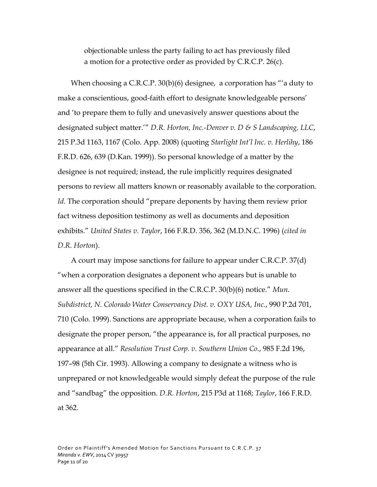objectionable unless the party failing to act has previously filed a motion for a protective order as provided by C.R.C.P. 26(c).

When choosing a C.R.C.P. 30(b)(6) designee, a corporation has "'a duty to make a conscientious, good-faith effort to designate knowledgeable persons' and 'to prepare them to fully and unevasively answer questions about the designated subject matter.'" *D.R. Horton, Inc.-Denver v. D & S Landscaping, LLC*, 215 P.3d 1163, 1167 (Colo. App. 2008) (quoting *Starlight Int'l Inc. v. Herlihy*, 186 F.R.D. 626, 639 (D.Kan. 1999)). So personal knowledge of a matter by the designee is not required; instead, the rule implicitly requires designated persons to review all matters known or reasonably available to the corporation. *Id.* The corporation should "prepare deponents by having them review prior fact witness deposition testimony as well as documents and deposition exhibits." *United States v. Taylor*, 166 F.R.D. 356, 362 (M.D.N.C. 1996) (*cited in D.R. Horton*).

A court may impose sanctions for failure to appear under C.R.C.P. 37(d) "when a corporation designates a deponent who appears but is unable to answer all the questions specified in the C.R.C.P. 30(b)(6) notice." *Mun. Subdistrict, N. Colorado Water Conservancy Dist. v. OXY USA, Inc.*, 990 P.2d 701, 710 (Colo. 1999). Sanctions are appropriate because, when a corporation fails to designate the proper person, "the appearance is, for all practical purposes, no appearance at all." *Resolution Trust Corp. v. Southern Union Co.*, 985 F.2d 196, 197–98 (5th Cir. 1993). Allowing a company to designate a witness who is unprepared or not knowledgeable would simply defeat the purpose of the rule and "sandbag" the opposition. *D.R. Horton*, 215 P3d at 1168; *Taylor*, 166 F.R.D. at 362.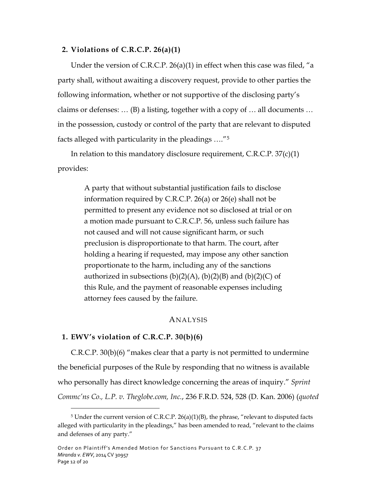### **2. Violations of C.R.C.P. 26(a)(1)**

Under the version of C.R.C.P. 26(a)(1) in effect when this case was filed, "a party shall, without awaiting a discovery request, provide to other parties the following information, whether or not supportive of the disclosing party's claims or defenses: … (B) a listing, together with a copy of … all documents … in the possession, custody or control of the party that are relevant to disputed facts alleged with particularity in the pleadings …."[5](#page-31-0)

In relation to this mandatory disclosure requirement, C.R.C.P. 37(c)(1) provides:

> A party that without substantial justification fails to disclose information required by C.R.C.P. 26(a) or 26(e) shall not be permitted to present any evidence not so disclosed at trial or on a motion made pursuant to C.R.C.P. 56, unless such failure has not caused and will not cause significant harm, or such preclusion is disproportionate to that harm. The court, after holding a hearing if requested, may impose any other sanction proportionate to the harm, including any of the sanctions authorized in subsections  $(b)(2)(A)$ ,  $(b)(2)(B)$  and  $(b)(2)(C)$  of this Rule, and the payment of reasonable expenses including attorney fees caused by the failure.

#### ANALYSIS

### **1. EWV's violation of C.R.C.P. 30(b)(6)**

 $\overline{a}$ 

C.R.C.P. 30(b)(6) "makes clear that a party is not permitted to undermine the beneficial purposes of the Rule by responding that no witness is available who personally has direct knowledge concerning the areas of inquiry." *Sprint Commc'ns Co., L.P. v. Theglobe.com, Inc.*, 236 F.R.D. 524, 528 (D. Kan. 2006) (*quoted* 

<span id="page-31-0"></span><sup>5</sup> Under the current version of C.R.C.P. 26(a)(1)(B), the phrase, "relevant to disputed facts alleged with particularity in the pleadings," has been amended to read, "relevant to the claims and defenses of any party."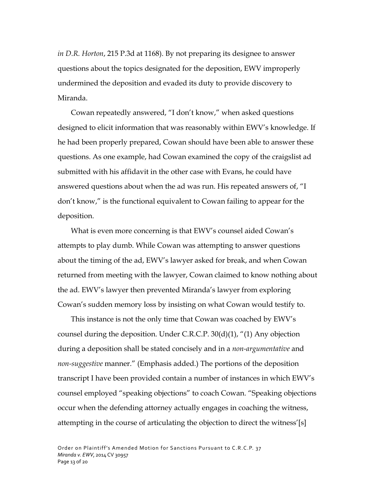*in D.R. Horton*, 215 P.3d at 1168). By not preparing its designee to answer questions about the topics designated for the deposition, EWV improperly undermined the deposition and evaded its duty to provide discovery to Miranda.

Cowan repeatedly answered, "I don't know," when asked questions designed to elicit information that was reasonably within EWV's knowledge. If he had been properly prepared, Cowan should have been able to answer these questions. As one example, had Cowan examined the copy of the craigslist ad submitted with his affidavit in the other case with Evans, he could have answered questions about when the ad was run. His repeated answers of, "I don't know," is the functional equivalent to Cowan failing to appear for the deposition.

What is even more concerning is that EWV's counsel aided Cowan's attempts to play dumb. While Cowan was attempting to answer questions about the timing of the ad, EWV's lawyer asked for break, and when Cowan returned from meeting with the lawyer, Cowan claimed to know nothing about the ad. EWV's lawyer then prevented Miranda's lawyer from exploring Cowan's sudden memory loss by insisting on what Cowan would testify to.

This instance is not the only time that Cowan was coached by EWV's counsel during the deposition. Under C.R.C.P.  $30(d)(1)$ , "(1) Any objection during a deposition shall be stated concisely and in a *non-argumentative* and *non-suggestive* manner." (Emphasis added.) The portions of the deposition transcript I have been provided contain a number of instances in which EWV's counsel employed "speaking objections" to coach Cowan. "Speaking objections occur when the defending attorney actually engages in coaching the witness, attempting in the course of articulating the objection to direct the witness'[s]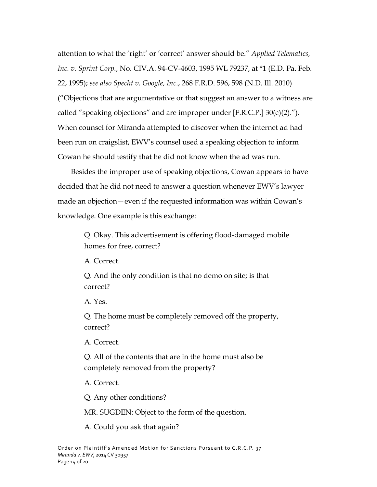attention to what the 'right' or 'correct' answer should be." *Applied Telematics, Inc. v. Sprint Corp.*, No. CIV.A. 94-CV-4603, 1995 WL 79237, at \*1 (E.D. Pa. Feb. 22, 1995); *see also Specht v. Google, Inc.*, 268 F.R.D. 596, 598 (N.D. Ill. 2010) ("Objections that are argumentative or that suggest an answer to a witness are called "speaking objections" and are improper under  $[F.R.C.P.]$  30(c)(2)."). When counsel for Miranda attempted to discover when the internet ad had been run on craigslist, EWV's counsel used a speaking objection to inform Cowan he should testify that he did not know when the ad was run.

Besides the improper use of speaking objections, Cowan appears to have decided that he did not need to answer a question whenever EWV's lawyer made an objection—even if the requested information was within Cowan's knowledge. One example is this exchange:

> Q. Okay. This advertisement is offering flood-damaged mobile homes for free, correct?

A. Correct.

Q. And the only condition is that no demo on site; is that correct?

A. Yes.

Q. The home must be completely removed off the property, correct?

A. Correct.

Q. All of the contents that are in the home must also be completely removed from the property?

A. Correct.

Q. Any other conditions?

MR. SUGDEN: Object to the form of the question.

A. Could you ask that again?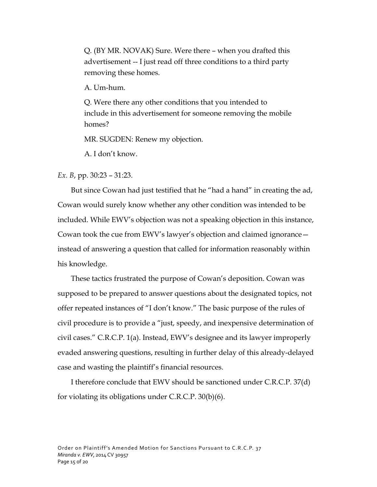Q. (BY MR. NOVAK) Sure. Were there – when you drafted this advertisement -- I just read off three conditions to a third party removing these homes.

A. Um-hum.

Q. Were there any other conditions that you intended to include in this advertisement for someone removing the mobile homes?

MR. SUGDEN: Renew my objection.

A. I don't know.

### *Ex. B*, pp. 30:23 – 31:23.

But since Cowan had just testified that he "had a hand" in creating the ad, Cowan would surely know whether any other condition was intended to be included. While EWV's objection was not a speaking objection in this instance, Cowan took the cue from EWV's lawyer's objection and claimed ignorance instead of answering a question that called for information reasonably within his knowledge.

These tactics frustrated the purpose of Cowan's deposition. Cowan was supposed to be prepared to answer questions about the designated topics, not offer repeated instances of "I don't know." The basic purpose of the rules of civil procedure is to provide a "just, speedy, and inexpensive determination of civil cases." C.R.C.P. 1(a). Instead, EWV's designee and its lawyer improperly evaded answering questions, resulting in further delay of this already-delayed case and wasting the plaintiff's financial resources.

I therefore conclude that EWV should be sanctioned under C.R.C.P. 37(d) for violating its obligations under C.R.C.P. 30(b)(6).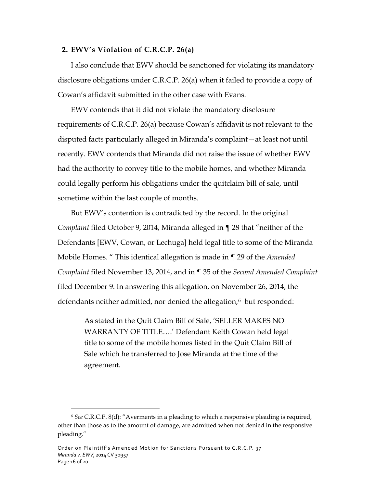### **2. EWV's Violation of C.R.C.P. 26(a)**

I also conclude that EWV should be sanctioned for violating its mandatory disclosure obligations under C.R.C.P. 26(a) when it failed to provide a copy of Cowan's affidavit submitted in the other case with Evans.

EWV contends that it did not violate the mandatory disclosure requirements of C.R.C.P. 26(a) because Cowan's affidavit is not relevant to the disputed facts particularly alleged in Miranda's complaint—at least not until recently. EWV contends that Miranda did not raise the issue of whether EWV had the authority to convey title to the mobile homes, and whether Miranda could legally perform his obligations under the quitclaim bill of sale, until sometime within the last couple of months.

But EWV's contention is contradicted by the record. In the original *Complaint* filed October 9, 2014, Miranda alleged in ¶ 28 that "neither of the Defendants [EWV, Cowan, or Lechuga] held legal title to some of the Miranda Mobile Homes. " This identical allegation is made in ¶ 29 of the *Amended Complaint* filed November 13, 2014, and in ¶ 35 of the *Second Amended Complaint*  filed December 9. In answering this allegation, on November 26, 2014, the defendants neither admitted, nor denied the allegation, $6$  but responded:

> As stated in the Quit Claim Bill of Sale, 'SELLER MAKES NO WARRANTY OF TITLE….' Defendant Keith Cowan held legal title to some of the mobile homes listed in the Quit Claim Bill of Sale which he transferred to Jose Miranda at the time of the agreement.

 $\overline{a}$ 

<span id="page-35-0"></span><sup>6</sup> *See* C.R.C.P. 8(d): "Averments in a pleading to which a responsive pleading is required, other than those as to the amount of damage, are admitted when not denied in the responsive pleading."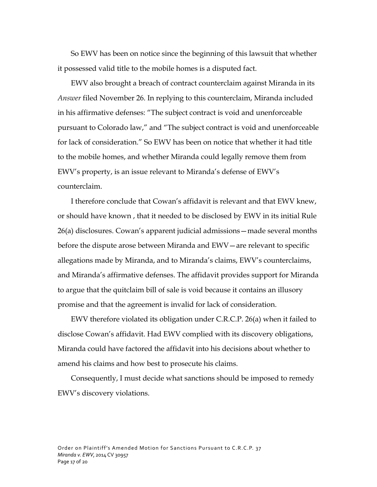So EWV has been on notice since the beginning of this lawsuit that whether it possessed valid title to the mobile homes is a disputed fact.

EWV also brought a breach of contract counterclaim against Miranda in its *Answer* filed November 26. In replying to this counterclaim, Miranda included in his affirmative defenses: "The subject contract is void and unenforceable pursuant to Colorado law," and "The subject contract is void and unenforceable for lack of consideration." So EWV has been on notice that whether it had title to the mobile homes, and whether Miranda could legally remove them from EWV's property, is an issue relevant to Miranda's defense of EWV's counterclaim.

I therefore conclude that Cowan's affidavit is relevant and that EWV knew, or should have known , that it needed to be disclosed by EWV in its initial Rule 26(a) disclosures. Cowan's apparent judicial admissions—made several months before the dispute arose between Miranda and EWV—are relevant to specific allegations made by Miranda, and to Miranda's claims, EWV's counterclaims, and Miranda's affirmative defenses. The affidavit provides support for Miranda to argue that the quitclaim bill of sale is void because it contains an illusory promise and that the agreement is invalid for lack of consideration.

EWV therefore violated its obligation under C.R.C.P. 26(a) when it failed to disclose Cowan's affidavit. Had EWV complied with its discovery obligations, Miranda could have factored the affidavit into his decisions about whether to amend his claims and how best to prosecute his claims.

Consequently, I must decide what sanctions should be imposed to remedy EWV's discovery violations.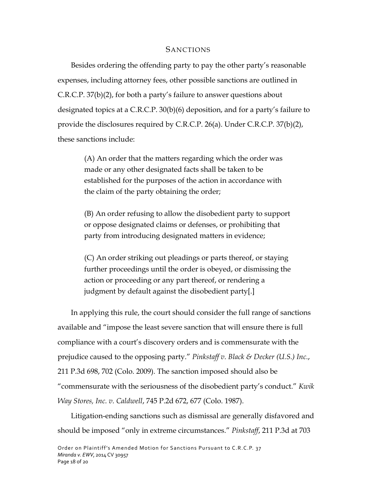#### **SANCTIONS**

Besides ordering the offending party to pay the other party's reasonable expenses, including attorney fees, other possible sanctions are outlined in C.R.C.P. 37(b)(2), for both a party's failure to answer questions about designated topics at a C.R.C.P. 30(b)(6) deposition, and for a party's failure to provide the disclosures required by C.R.C.P. 26(a). Under C.R.C.P. 37(b)(2), these sanctions include:

> (A) An order that the matters regarding which the order was made or any other designated facts shall be taken to be established for the purposes of the action in accordance with the claim of the party obtaining the order;

(B) An order refusing to allow the disobedient party to support or oppose designated claims or defenses, or prohibiting that party from introducing designated matters in evidence;

(C) An order striking out pleadings or parts thereof, or staying further proceedings until the order is obeyed, or dismissing the action or proceeding or any part thereof, or rendering a judgment by default against the disobedient party[.]

In applying this rule, the court should consider the full range of sanctions available and "impose the least severe sanction that will ensure there is full compliance with a court's discovery orders and is commensurate with the prejudice caused to the opposing party." *Pinkstaff v. Black & Decker (U.S.) Inc.*, 211 P.3d 698, 702 (Colo. 2009). The sanction imposed should also be "commensurate with the seriousness of the disobedient party's conduct." *Kwik Way Stores, Inc. v. Caldwell*, 745 P.2d 672, 677 (Colo. 1987).

Litigation-ending sanctions such as dismissal are generally disfavored and should be imposed "only in extreme circumstances." *Pinkstaff*, 211 P.3d at 703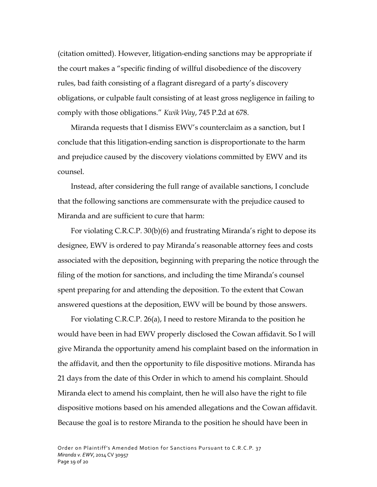(citation omitted). However, litigation-ending sanctions may be appropriate if the court makes a "specific finding of willful disobedience of the discovery rules, bad faith consisting of a flagrant disregard of a party's discovery obligations, or culpable fault consisting of at least gross negligence in failing to comply with those obligations." *Kwik Way*, 745 P.2d at 678.

Miranda requests that I dismiss EWV's counterclaim as a sanction, but I conclude that this litigation-ending sanction is disproportionate to the harm and prejudice caused by the discovery violations committed by EWV and its counsel.

Instead, after considering the full range of available sanctions, I conclude that the following sanctions are commensurate with the prejudice caused to Miranda and are sufficient to cure that harm:

For violating C.R.C.P. 30(b)(6) and frustrating Miranda's right to depose its designee, EWV is ordered to pay Miranda's reasonable attorney fees and costs associated with the deposition, beginning with preparing the notice through the filing of the motion for sanctions, and including the time Miranda's counsel spent preparing for and attending the deposition. To the extent that Cowan answered questions at the deposition, EWV will be bound by those answers.

For violating C.R.C.P. 26(a), I need to restore Miranda to the position he would have been in had EWV properly disclosed the Cowan affidavit. So I will give Miranda the opportunity amend his complaint based on the information in the affidavit, and then the opportunity to file dispositive motions. Miranda has 21 days from the date of this Order in which to amend his complaint. Should Miranda elect to amend his complaint, then he will also have the right to file dispositive motions based on his amended allegations and the Cowan affidavit. Because the goal is to restore Miranda to the position he should have been in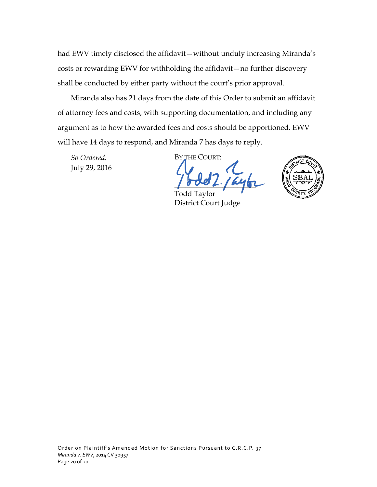had EWV timely disclosed the affidavit—without unduly increasing Miranda's costs or rewarding EWV for withholding the affidavit—no further discovery shall be conducted by either party without the court's prior approval.

Miranda also has 21 days from the date of this Order to submit an affidavit of attorney fees and costs, with supporting documentation, and including any argument as to how the awarded fees and costs should be apportioned. EWV will have 14 days to respond, and Miranda 7 has days to reply.

*So Ordered:* July 29, 2016 BY THE COURT:

 $1000 L$ 

Todd Taylor District Court Judge